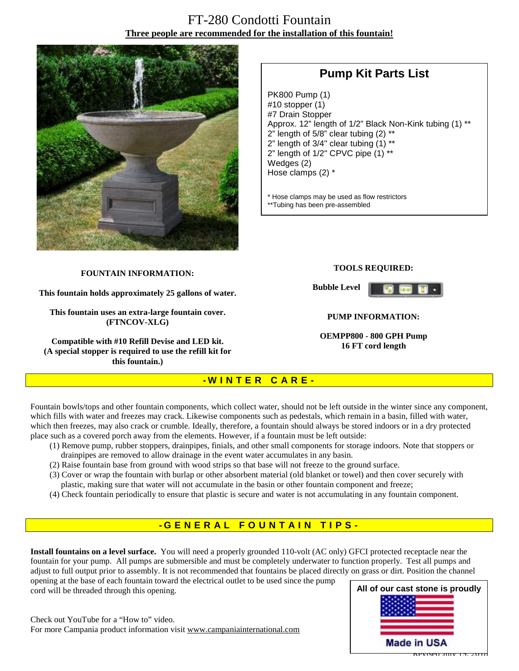# FT-280 Condotti Fountain **Three people are recommended for the installation of this fountain!**



# **Pump Kit Parts List**

PK800 Pump (1) #10 stopper (1) #7 Drain Stopper Approx. 12" length of 1/2" Black Non-Kink tubing (1) \*\* 2" length of  $5/8$ " clear tubing  $(2)$  \*\* 2" length of 3/4" clear tubing (1) \*\* 2" length of 1/2" CPVC pipe (1) \*\* Wedges (2) Hose clamps (2) \*

\* Hose clamps may be used as flow restrictors \*\*Tubing has been pre-assembled

#### **FOUNTAIN INFORMATION:**

**This fountain holds approximately 25 gallons of water.** 

**This fountain uses an extra-large fountain cover. (FTNCOV-XLG)** 

**Compatible with #10 Refill Devise and LED kit. (A special stopper is required to use the refill kit for this fountain.)**

#### **TOOLS REQUIRED:**

**Bubble Level** 



#### **PUMP INFORMATION:**

**OEMPP800 - 800 GPH Pump 16 FT cord length**

## **- W I N T E R C A R E -**

Fountain bowls/tops and other fountain components, which collect water, should not be left outside in the winter since any component, which fills with water and freezes may crack. Likewise components such as pedestals, which remain in a basin, filled with water, which then freezes, may also crack or crumble. Ideally, therefore, a fountain should always be stored indoors or in a dry protected place such as a covered porch away from the elements. However, if a fountain must be left outside:

- (1) Remove pump, rubber stoppers, drainpipes, finials, and other small components for storage indoors. Note that stoppers or drainpipes are removed to allow drainage in the event water accumulates in any basin.
- (2) Raise fountain base from ground with wood strips so that base will not freeze to the ground surface.
- (3) Cover or wrap the fountain with burlap or other absorbent material (old blanket or towel) and then cover securely with plastic, making sure that water will not accumulate in the basin or other fountain component and freeze;
- (4) Check fountain periodically to ensure that plastic is secure and water is not accumulating in any fountain component.

## **- G ENE R A L F O U N T A I N T I P S -**

**Install fountains on a level surface.** You will need a properly grounded 110-volt (AC only) GFCI protected receptacle near the fountain for your pump. All pumps are submersible and must be completely underwater to function properly. Test all pumps and adjust to full output prior to assembly. It is not recommended that fountains be placed directly on grass or dirt. Position the channel opening at the base of each fountain toward the electrical outlet to be used since the pump

cord will be threaded through this opening.

Check out YouTube for a "How to" video. For more Campania product information visit [www.campaniainternational.com](http://www.campaniainternational.com)